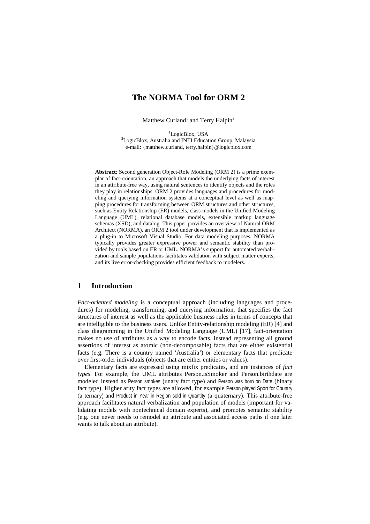# **The NORMA Tool for ORM 2**

Matthew Curland<sup>1</sup> and Terry Halpin<sup>2</sup>

<sup>1</sup>LogicBlox, USA LogicBlox, USA<sup>2</sup><br>LogicBlox, Australia and INTI Education Group, Malaysia e-mail: {matthew.curland, terry.halpin}@logicblox.com

**Abstract**: Second generation Object-Role Modeling (ORM 2) is a prime exemplar of fact-orientation, an approach that models the underlying facts of interest in an attribute-free way, using natural sentences to identify objects and the roles they play in relationships. ORM 2 provides languages and procedures for modeling and querying information systems at a conceptual level as well as mapping procedures for transforming between ORM structures and other structures, such as Entity Relationship (ER) models, class models in the Unified Modeling Language (UML), relational database models, extensible markup language schemas (XSD), and datalog. This paper provides an overview of Natural ORM Architect (NORMA), an ORM 2 tool under development that is implemented as a plug-in to Microsoft Visual Studio. For data modeling purposes, NORMA typically provides greater expressive power and semantic stability than provided by tools based on ER or UML. NORMA's support for automated verbalization and sample populations facilitates validation with subject matter experts, and its live error-checking provides efficient feedback to modelers.

### **1 Introduction**

*Fact-oriented modeling* is a conceptual approach (including languages and procedures) for modeling, transforming, and querying information, that specifies the fact structures of interest as well as the applicable business rules in terms of concepts that are intelligible to the business users. Unlike Entity-relationship modeling (ER) [4] and class diagramming in the Unified Modeling Language (UML) [17], fact-orientation makes no use of attributes as a way to encode facts, instead representing all ground assertions of interest as atomic (non-decomposable) facts that are either existential facts (e.g. There is a country named 'Australia') or elementary facts that predicate over first-order individuals (objects that are either entities or values).

Elementary facts are expressed using mixfix predicates, and are instances of *fact types*. For example, the UML attributes Person.isSmoker and Person.birthdate are modeled instead as Person smokes (unary fact type) and Person was born on Date (binary fact type). Higher arity fact types are allowed, for example Person played Sport for Country (a ternary) and Product in Year in Region sold in Quantity (a quaternary). This attribute-free approach facilitates natural verbalization and population of models (important for validating models with nontechnical domain experts), and promotes semantic stability (e.g. one never needs to remodel an attribute and associated access paths if one later wants to talk about an attribute).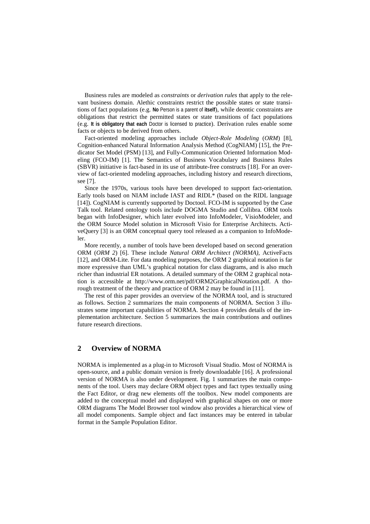Business rules are modeled as *constraints* or *derivation rules* that apply to the relevant business domain. Alethic constraints restrict the possible states or state transitions of fact populations (e.g. **No** Person is a parent of **itself**), while deontic constraints are obligations that restrict the permitted states or state transitions of fact populations (e.g. **It is obligatory that each** Doctor is licensed to practice). Derivation rules enable some facts or objects to be derived from others.

Fact-oriented modeling approaches include *Object-Role Modeling* (*ORM*) [\[8\]](#page-7-0), Cognition-enhanced Natural Information Analysis Method (CogNIAM) [\[15\]](#page-7-1), the Predicator Set Model (PSM) [\[13\]](#page-7-2), and Fully-Communication Oriented Information Modeling (FCO-IM) [1]. The Semantics of Business Vocabulary and Business Rules (SBVR) initiative is fact-based in its use of attribute-free constructs [\[18\]](#page-7-3). For an overview of fact-oriented modeling approaches, including history and research directions, see [\[7\]](#page-7-4).

Since the 1970s, various tools have been developed to support fact-orientation. Early tools based on NIAM include IAST and RIDL\* (based on the RIDL language [14]). CogNIAM is currently supported by Doctool. FCO-IM is supported by the Case Talk tool. Related ontology tools include DOGMA Studio and Collibra. ORM tools began with InfoDesigner, which later evolved into InfoModeler, VisioModeler, and the ORM Source Model solution in Microsoft Visio for Enterprise Architects. ActiveQuery [3] is an ORM conceptual query tool released as a companion to InfoModeler.

More recently, a number of tools have been developed based on second generation ORM (*ORM 2*) [\[6\]](#page-7-5). These include *Natural ORM Architect (NORMA)*, ActiveFacts [12], and ORM-Lite. For data modeling purposes, the ORM 2 graphical notation is far more expressive than UML's graphical notation for class diagrams, and is also much richer than industrial ER notations. A detailed summary of the ORM 2 graphical notation is accessible at http://www.orm.net/pdf/ORM2GraphicalNotation.pdf. A thorough treatment of the theory and practice of ORM 2 may be found in [\[11\]](#page-7-6).

The rest of this paper provides an overview of the NORMA tool, and is structured as follows. Section 2 summarizes the main components of NORMA. Section 3 illustrates some important capabilities of NORMA. Section 4 provides details of the implementation architecture. Section 5 summarizes the main contributions and outlines future research directions.

## **2 Overview of NORMA**

NORMA is implemented as a plug-in to Microsoft Visual Studio. Most of NORMA is open-source, and a public domain version is freely downloadable [16]. A professional version of NORMA is also under development. Fig. 1 summarizes the main components of the tool. Users may declare ORM object types and fact types textually using the Fact Editor, or drag new elements off the toolbox. New model components are added to the conceptual model and displayed with graphical shapes on one or more ORM diagrams The Model Browser tool window also provides a hierarchical view of all model components. Sample object and fact instances may be entered in tabular format in the Sample Population Editor.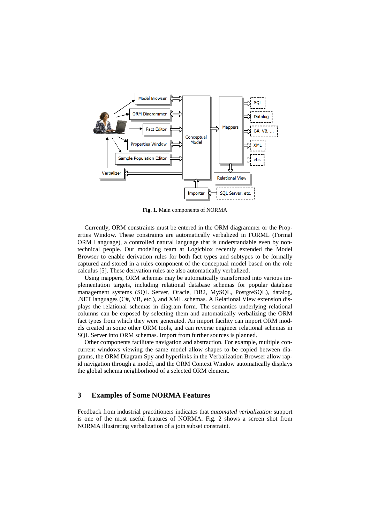

**Fig. 1.** Main components of NORMA

Currently, ORM constraints must be entered in the ORM diagrammer or the Properties Window. These constraints are automatically verbalized in FORML (Formal ORM Language), a controlled natural language that is understandable even by nontechnical people. Our modeling team at Logicblox recently extended the Model Browser to enable derivation rules for both fact types and subtypes to be formally captured and stored in a rules component of the conceptual model based on the role calculus [5]. These derivation rules are also automatically verbalized.

Using mappers, ORM schemas may be automatically transformed into various implementation targets, including relational database schemas for popular database management systems (SQL Server, Oracle, DB2, MySQL, PostgreSQL), datalog, .NET languages (C#, VB, etc.), and XML schemas. A Relational View extension displays the relational schemas in diagram form. The semantics underlying relational columns can be exposed by selecting them and automatically verbalizing the ORM fact types from which they were generated. An import facility can import ORM models created in some other ORM tools, and can reverse engineer relational schemas in SQL Server into ORM schemas. Import from further sources is planned.

Other components facilitate navigation and abstraction. For example, multiple concurrent windows viewing the same model allow shapes to be copied between diagrams, the ORM Diagram Spy and hyperlinks in the Verbalization Browser allow rapid navigation through a model, and the ORM Context Window automatically displays the global schema neighborhood of a selected ORM element.

### **3 Examples of Some NORMA Features**

Feedback from industrial practitioners indicates that *automated verbalization* support is one of the most useful features of NORMA. Fig. 2 shows a screen shot from NORMA illustrating verbalization of a join subset constraint.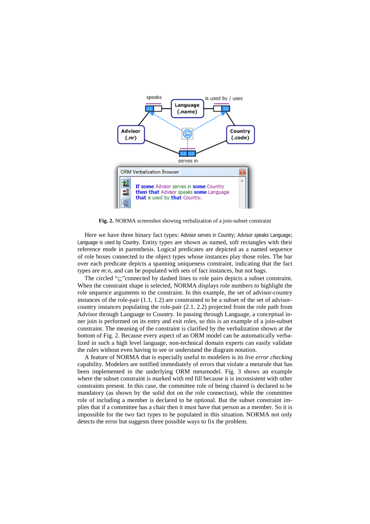

**Fig. 2.** NORMA screenshot showing verbalization of a join-subset constraint

Here we have three binary fact types: Advisor serves in Country; Advisor speaks Language; Language is used by Country. Entity types are shown as named, soft rectangles with their reference mode in parenthesis. Logical predicates are depicted as a named sequence of role boxes connected to the object types whose instances play those roles. The bar over each predicate depicts a spanning uniqueness constraint, indicating that the fact types are *m:n*, and can be populated with sets of fact instances, but not bags.

The circled "⊆"connected by dashed lines to role pairs depicts a subset constraint. When the constraint shape is selected, NORMA displays role numbers to highlight the role sequence arguments to the constraint. In this example, the set of advisor-country instances of the role-pair  $(1.1, 1.2)$  are constrained to be a subset of the set of advisorcountry instances populating the role-pair (2.1, 2.2) projected from the role path from Advisor through Language to Country. In passing through Language, a conceptual inner join is performed on its entry and exit roles, so this is an example of a join-subset constraint. The meaning of the constraint is clarified by the verbalization shown at the bottom of Fig. 2. Because every aspect of an ORM model can be automatically verbalized in such a high level language, non-technical domain experts can easily validate the rules without even having to see or understand the diagram notation.

A feature of NORMA that is especially useful to modelers is its *live error checking* capability. Modelers are notified immediately of errors that violate a metarule that has been implemented in the underlying ORM metamodel. Fig. 3 shows an example where the subset constraint is marked with red fill because it is inconsistent with other constraints present. In this case, the committee role of being chaired is declared to be mandatory (as shown by the solid dot on the role connection), while the committee role of including a member is declared to be optional. But the subset constraint implies that if a committee has a chair then it must have that person as a member. So it is impossible for the two fact types to be populated in this situation. NORMA not only detects the error but suggests three possible ways to fix the problem.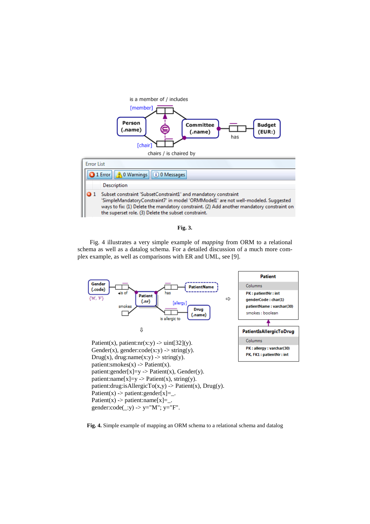

**Fig. 3.**

Fig. 4 illustrates a very simple example of *mapping* from ORM to a relational schema as well as a datalog schema. For a detailed discussion of a much more complex example, as well as comparisons with ER and UML, see [\[9\]](#page-7-7).



**Fig. 4.** Simple example of mapping an ORM schema to a relational schema and datalog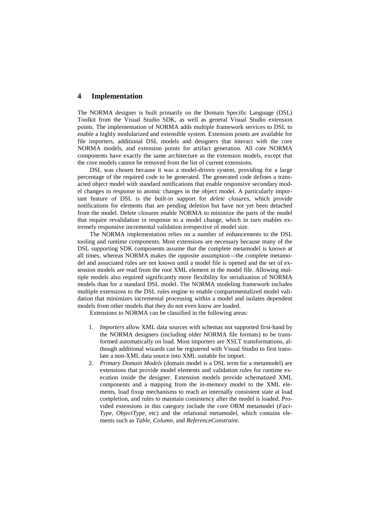#### **4 Implementation**

The NORMA designer is built primarily on the Domain Specific Language (DSL) Toolkit from the Visual Studio SDK, as well as general Visual Studio extension points. The implementation of NORMA adds multiple framework services to DSL to enable a highly modularized and extensible system. Extension points are available for file importers, additional DSL models and designers that interact with the core NORMA models, and extension points for artifact generation. All core NORMA components have exactly the same architecture as the extension models, except that the core models cannot be removed from the list of current extensions.

DSL was chosen because it was a model-driven system, providing for a large percentage of the required code to be generated. The generated code defines a transacted object model with standard notifications that enable responsive secondary model changes in response to atomic changes in the object model. A particularly important feature of DSL is the built-in support for *delete closures*, which provide notifications for elements that are pending deletion but have not yet been detached from the model. Delete closures enable NORMA to minimize the parts of the model that require revalidation in response to a model change, which in turn enables extremely responsive incremental validation irrespective of model size.

The NORMA implementation relies on a number of enhancements to the DSL tooling and runtime components. Most extensions are necessary because many of the DSL supporting SDK components assume that the complete metamodel is known at all times, whereas NORMA makes the opposite assumption—the complete metamodel and associated rules are not known until a model file is opened and the set of extension models are read from the root XML element in the model file. Allowing multiple models also required significantly more flexibility for serialization of NORMA models than for a standard DSL model. The NORMA modeling framework includes multiple extensions to the DSL rules engine to enable compartmentalized model validation that minimizes incremental processing within a model and isolates dependent models from other models that they do not even know are loaded.

Extensions to NORMA can be classified in the following areas:

- 1. *Importers* allow XML data sources with schemas not supported first-hand by the NORMA designers (including older NORMA file formats) to be transformed automatically on load. Most importers are XSLT transformations, although additional wizards can be registered with Visual Studio to first translate a non-XML data source into XML suitable for import.
- 2. *Primary Domain Models* (domain model is a DSL term for a metamodel) are extensions that provide model elements and validation rules for runtime execution inside the designer. Extension models provide schematized XML components and a mapping from the in-memory model to the XML elements, load fixup mechanisms to reach an internally consistent state at load completion, and rules to maintain consistency after the model is loaded. Provided extensions in this category include the core ORM metamodel (*Fact-Type*, *ObjectType*, etc) and the relational metamodel, which contains elements such as *Table*, *Column*, and *ReferenceConstraint*.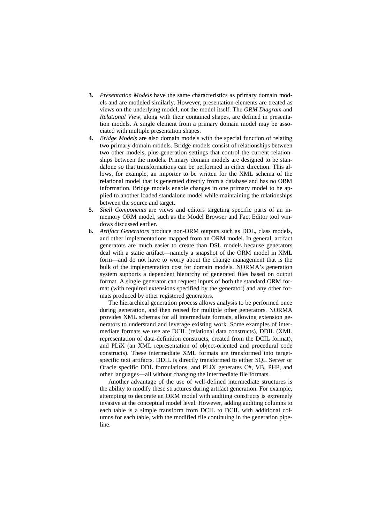- **3.** *Presentation Models* have the same characteristics as primary domain models and are modeled similarly. However, presentation elements are treated as views on the underlying model, not the model itself. The *ORM Diagram* and *Relational View*, along with their contained shapes, are defined in presentation models. A single element from a primary domain model may be associated with multiple presentation shapes.
- **4.** *Bridge Models* are also domain models with the special function of relating two primary domain models. Bridge models consist of relationships between two other models, plus generation settings that control the current relationships between the models. Primary domain models are designed to be standalone so that transformations can be performed in either direction. This allows, for example, an importer to be written for the XML schema of the relational model that is generated directly from a database and has no ORM information. Bridge models enable changes in one primary model to be applied to another loaded standalone model while maintaining the relationships between the source and target.
- **5.** *Shell Components* are views and editors targeting specific parts of an inmemory ORM model, such as the Model Browser and Fact Editor tool windows discussed earlier.
- **6.** *Artifact Generators* produce non-ORM outputs such as DDL, class models, and other implementations mapped from an ORM model. In general, artifact generators are much easier to create than DSL models because generators deal with a static artifact—namely a snapshot of the ORM model in XML form—and do not have to worry about the change management that is the bulk of the implementation cost for domain models. NORMA's generation system supports a dependent hierarchy of generated files based on output format. A single generator can request inputs of both the standard ORM format (with required extensions specified by the generator) and any other formats produced by other registered generators.

 The hierarchical generation process allows analysis to be performed once during generation, and then reused for multiple other generators. NORMA provides XML schemas for all intermediate formats, allowing extension generators to understand and leverage existing work. Some examples of intermediate formats we use are DCIL (relational data constructs), DDIL (XML representation of data-definition constructs, created from the DCIL format), and PLiX (an XML representation of object-oriented and procedural code constructs). These intermediate XML formats are transformed into targetspecific text artifacts. DDIL is directly transformed to either SQL Server or Oracle specific DDL formulations, and PLiX generates C#, VB, PHP, and other languages—all without changing the intermediate file formats.

 Another advantage of the use of well-defined intermediate structures is the ability to modify these structures during artifact generation. For example, attempting to decorate an ORM model with auditing constructs is extremely invasive at the conceptual model level. However, adding auditing columns to each table is a simple transform from DCIL to DCIL with additional columns for each table, with the modified file continuing in the generation pipeline.